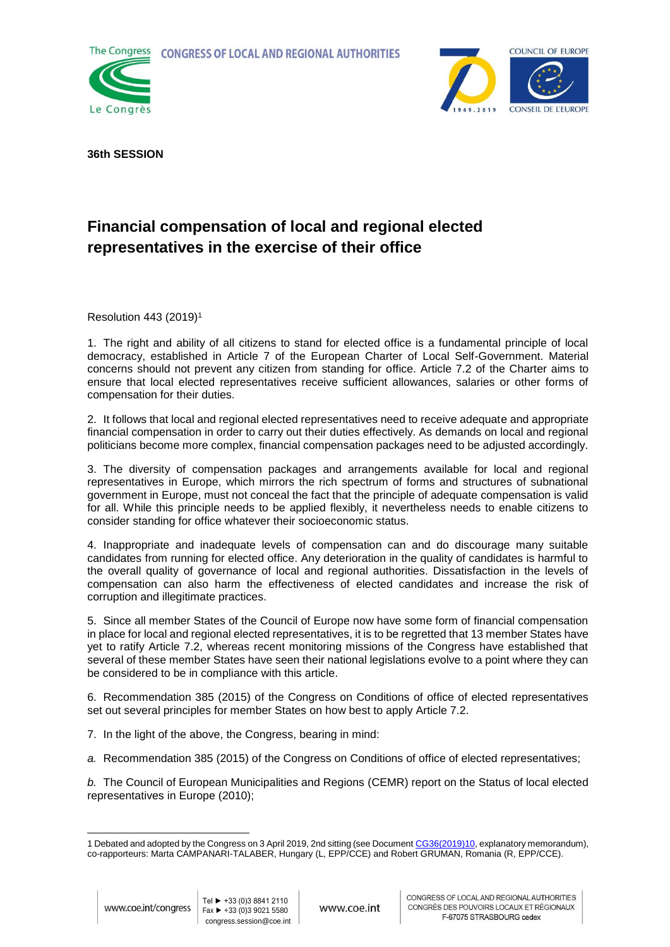**CONGRESS OF LOCAL AND REGIONAL AUTHORITIES** 





**36th SESSION**

## **Financial compensation of local and regional elected representatives in the exercise of their office**

Resolution 443 (2019)<sup>1</sup>

1. The right and ability of all citizens to stand for elected office is a fundamental principle of local democracy, established in Article 7 of the European Charter of Local Self-Government. Material concerns should not prevent any citizen from standing for office. Article 7.2 of the Charter aims to ensure that local elected representatives receive sufficient allowances, salaries or other forms of compensation for their duties.

2. It follows that local and regional elected representatives need to receive adequate and appropriate financial compensation in order to carry out their duties effectively. As demands on local and regional politicians become more complex, financial compensation packages need to be adjusted accordingly.

3. The diversity of compensation packages and arrangements available for local and regional representatives in Europe, which mirrors the rich spectrum of forms and structures of subnational government in Europe, must not conceal the fact that the principle of adequate compensation is valid for all. While this principle needs to be applied flexibly, it nevertheless needs to enable citizens to consider standing for office whatever their socioeconomic status.

4. Inappropriate and inadequate levels of compensation can and do discourage many suitable candidates from running for elected office. Any deterioration in the quality of candidates is harmful to the overall quality of governance of local and regional authorities. Dissatisfaction in the levels of compensation can also harm the effectiveness of elected candidates and increase the risk of corruption and illegitimate practices.

5. Since all member States of the Council of Europe now have some form of financial compensation in place for local and regional elected representatives, it is to be regretted that 13 member States have yet to ratify Article 7.2, whereas recent monitoring missions of the Congress have established that several of these member States have seen their national legislations evolve to a point where they can be considered to be in compliance with this article.

6. Recommendation 385 (2015) of the Congress on Conditions of office of elected representatives set out several principles for member States on how best to apply Article 7.2.

- 7. In the light of the above, the Congress, bearing in mind:
- *a.* Recommendation 385 (2015) of the Congress on Conditions of office of elected representatives;

*b.* The Council of European Municipalities and Regions (CEMR) report on the Status of local elected representatives in Europe (2010);

<sup>-</sup>1 Debated and adopted by the Congress on 3 April 2019, 2nd sitting (see Documen[t CG36\(2019\)10,](https://rm.coe.int/financial-compensation-of-local-and-regional-elected-representatives-i/1680931258) explanatory memorandum), co-rapporteurs: Marta CAMPANARI-TALABER, Hungary (L, EPP/CCE) and Robert GRUMAN, Romania (R, EPP/CCE).